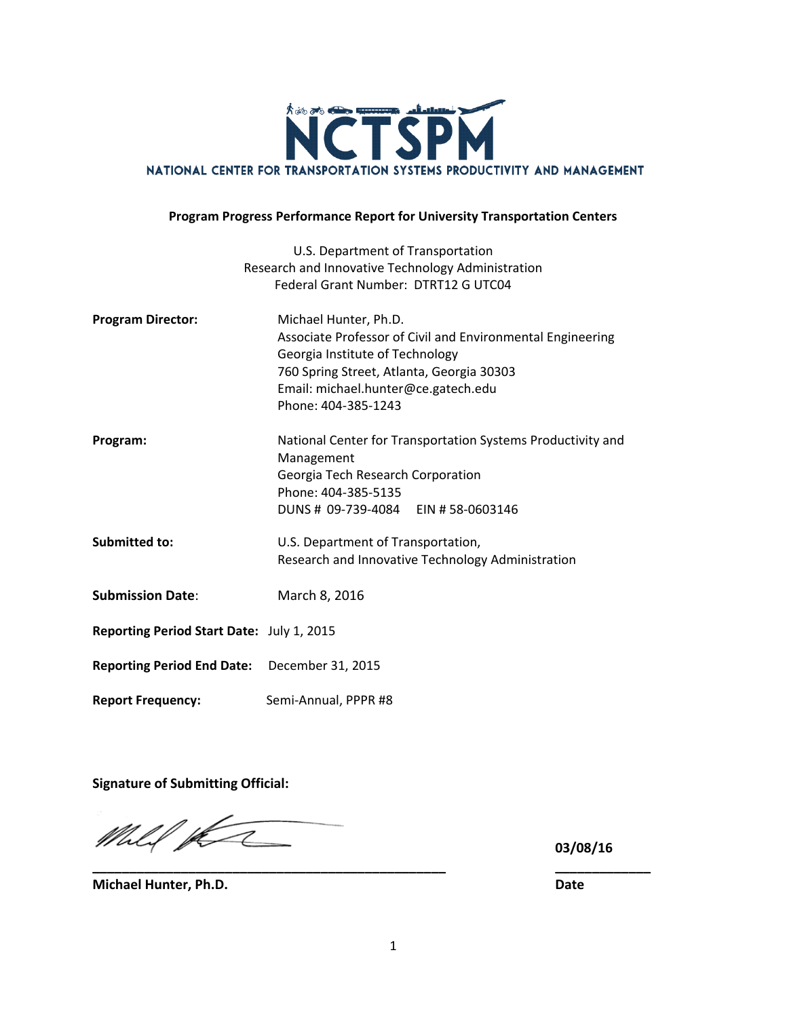

#### **Program Progress Performance Report for University Transportation Centers**

|                                              | U.S. Department of Transportation                                                |  |  |
|----------------------------------------------|----------------------------------------------------------------------------------|--|--|
|                                              | Research and Innovative Technology Administration                                |  |  |
|                                              | Federal Grant Number: DTRT12 G UTC04                                             |  |  |
| <b>Program Director:</b>                     | Michael Hunter, Ph.D.                                                            |  |  |
|                                              | Associate Professor of Civil and Environmental Engineering                       |  |  |
|                                              | Georgia Institute of Technology                                                  |  |  |
|                                              | 760 Spring Street, Atlanta, Georgia 30303<br>Email: michael.hunter@ce.gatech.edu |  |  |
|                                              | Phone: 404-385-1243                                                              |  |  |
|                                              |                                                                                  |  |  |
| Program:                                     | National Center for Transportation Systems Productivity and                      |  |  |
|                                              | Management                                                                       |  |  |
|                                              | Georgia Tech Research Corporation                                                |  |  |
|                                              | Phone: 404-385-5135                                                              |  |  |
|                                              | DUNS # 09-739-4084 EIN #58-0603146                                               |  |  |
| Submitted to:                                | U.S. Department of Transportation,                                               |  |  |
|                                              | Research and Innovative Technology Administration                                |  |  |
|                                              |                                                                                  |  |  |
| <b>Submission Date:</b>                      | March 8, 2016                                                                    |  |  |
| Reporting Period Start Date: July 1, 2015    |                                                                                  |  |  |
|                                              |                                                                                  |  |  |
| Reporting Period End Date: December 31, 2015 |                                                                                  |  |  |
| <b>Report Frequency:</b>                     | Semi-Annual, PPPR #8                                                             |  |  |

**Signature of Submitting Official:**

Mhlif p Ξ

**03/08/16**

**Michael Hunter, Ph.D. Date**

**\_\_\_\_\_\_\_\_\_\_\_\_\_\_\_\_\_\_\_\_\_\_\_\_\_\_\_\_\_\_\_\_\_\_\_\_\_\_\_\_\_\_\_\_\_\_\_\_ \_\_\_\_\_\_\_\_\_\_\_\_\_**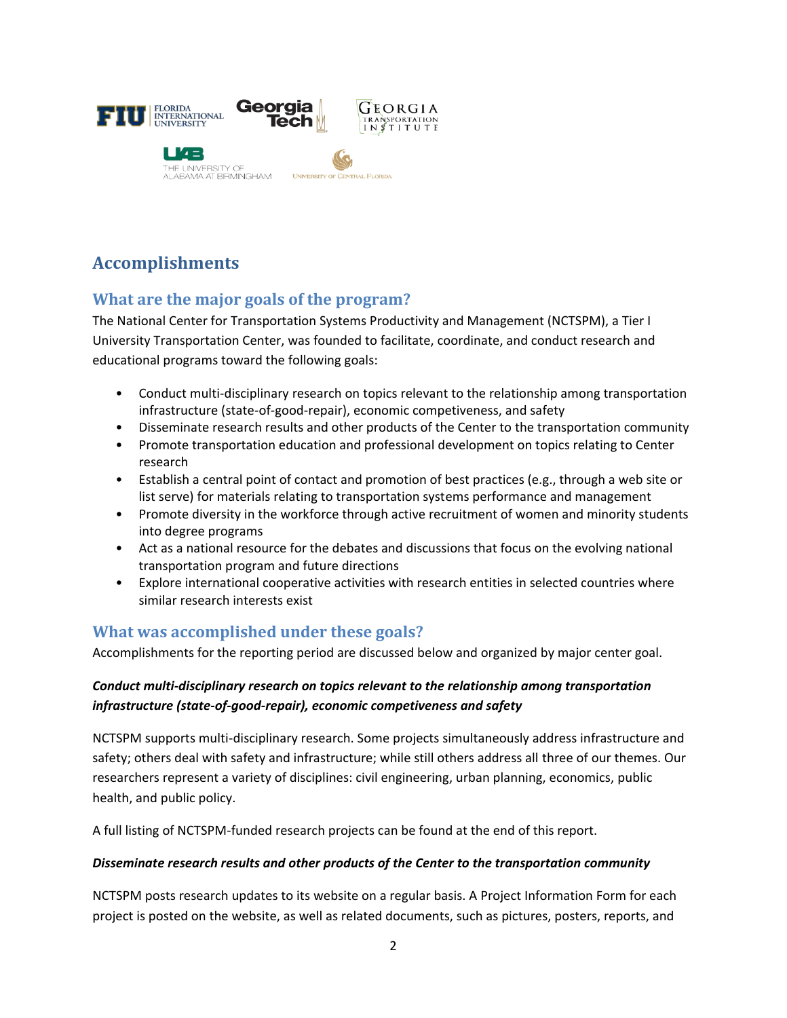

# **Accomplishments**

# **What are the major goals of the program?**

The National Center for Transportation Systems Productivity and Management (NCTSPM), a Tier I University Transportation Center, was founded to facilitate, coordinate, and conduct research and educational programs toward the following goals:

- Conduct multi-disciplinary research on topics relevant to the relationship among transportation infrastructure (state-of-good-repair), economic competiveness, and safety
- Disseminate research results and other products of the Center to the transportation community
- Promote transportation education and professional development on topics relating to Center research
- Establish a central point of contact and promotion of best practices (e.g., through a web site or list serve) for materials relating to transportation systems performance and management
- Promote diversity in the workforce through active recruitment of women and minority students into degree programs
- Act as a national resource for the debates and discussions that focus on the evolving national transportation program and future directions
- Explore international cooperative activities with research entities in selected countries where similar research interests exist

### **What was accomplished under these goals?**

Accomplishments for the reporting period are discussed below and organized by major center goal.

### *Conduct multi-disciplinary research on topics relevant to the relationship among transportation infrastructure (state-of-good-repair), economic competiveness and safety*

NCTSPM supports multi-disciplinary research. Some projects simultaneously address infrastructure and safety; others deal with safety and infrastructure; while still others address all three of our themes. Our researchers represent a variety of disciplines: civil engineering, urban planning, economics, public health, and public policy.

A full listing of NCTSPM-funded research projects can be found at the end of this report.

#### *Disseminate research results and other products of the Center to the transportation community*

NCTSPM posts research updates to its website on a regular basis. A Project Information Form for each project is posted on the website, as well as related documents, such as pictures, posters, reports, and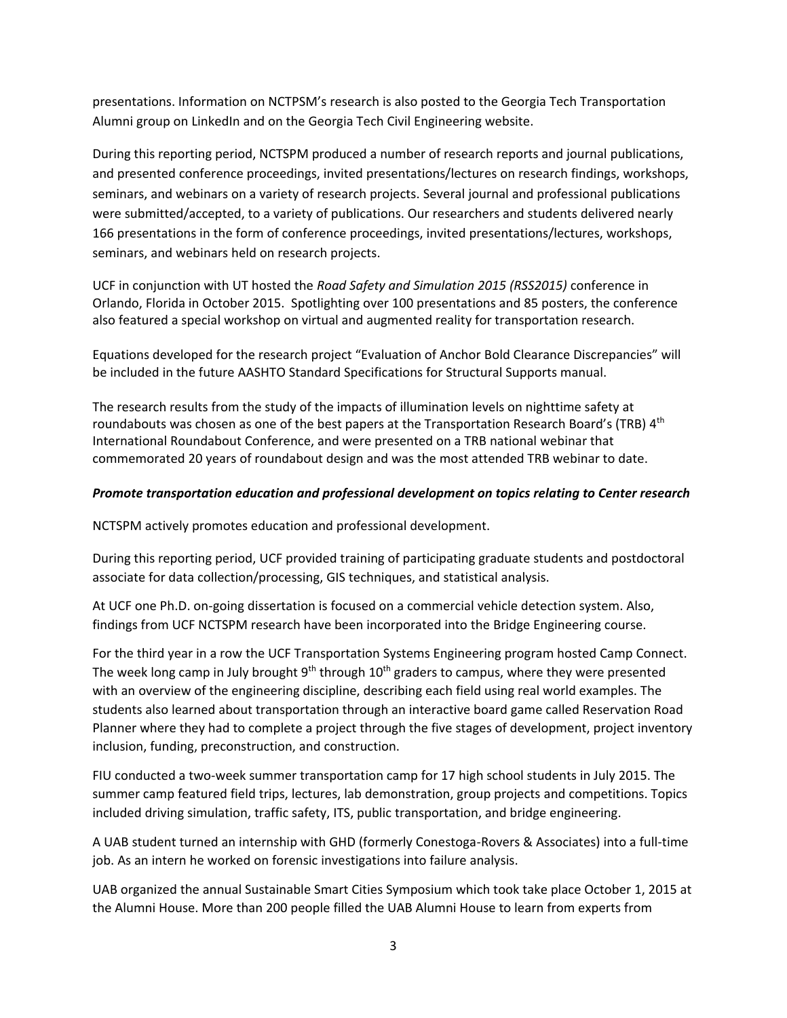presentations. Information on NCTPSM's research is also posted to the Georgia Tech Transportation Alumni group on LinkedIn and on the Georgia Tech Civil Engineering website.

During this reporting period, NCTSPM produced a number of research reports and journal publications, and presented conference proceedings, invited presentations/lectures on research findings, workshops, seminars, and webinars on a variety of research projects. Several journal and professional publications were submitted/accepted, to a variety of publications. Our researchers and students delivered nearly 166 presentations in the form of conference proceedings, invited presentations/lectures, workshops, seminars, and webinars held on research projects.

UCF in conjunction with UT hosted the *Road Safety and Simulation 2015 (RSS2015)* conference in Orlando, Florida in October 2015. Spotlighting over 100 presentations and 85 posters, the conference also featured a special workshop on virtual and augmented reality for transportation research.

Equations developed for the research project "Evaluation of Anchor Bold Clearance Discrepancies" will be included in the future AASHTO Standard Specifications for Structural Supports manual.

The research results from the study of the impacts of illumination levels on nighttime safety at roundabouts was chosen as one of the best papers at the Transportation Research Board's (TRB) 4<sup>th</sup> International Roundabout Conference, and were presented on a TRB national webinar that commemorated 20 years of roundabout design and was the most attended TRB webinar to date.

#### *Promote transportation education and professional development on topics relating to Center research*

NCTSPM actively promotes education and professional development.

During this reporting period, UCF provided training of participating graduate students and postdoctoral associate for data collection/processing, GIS techniques, and statistical analysis.

At UCF one Ph.D. on-going dissertation is focused on a commercial vehicle detection system. Also, findings from UCF NCTSPM research have been incorporated into the Bridge Engineering course.

For the third year in a row the UCF Transportation Systems Engineering program hosted Camp Connect. The week long camp in July brought  $9<sup>th</sup>$  through  $10<sup>th</sup>$  graders to campus, where they were presented with an overview of the engineering discipline, describing each field using real world examples. The students also learned about transportation through an interactive board game called Reservation Road Planner where they had to complete a project through the five stages of development, project inventory inclusion, funding, preconstruction, and construction.

FIU conducted a two-week summer transportation camp for 17 high school students in July 2015. The summer camp featured field trips, lectures, lab demonstration, group projects and competitions. Topics included driving simulation, traffic safety, ITS, public transportation, and bridge engineering.

A UAB student turned an internship with GHD (formerly Conestoga-Rovers & Associates) into a full-time job. As an intern he worked on forensic investigations into failure analysis.

UAB organized the annual Sustainable Smart Cities Symposium which took take place October 1, 2015 at the Alumni House. More than 200 people filled the UAB Alumni House to learn from experts from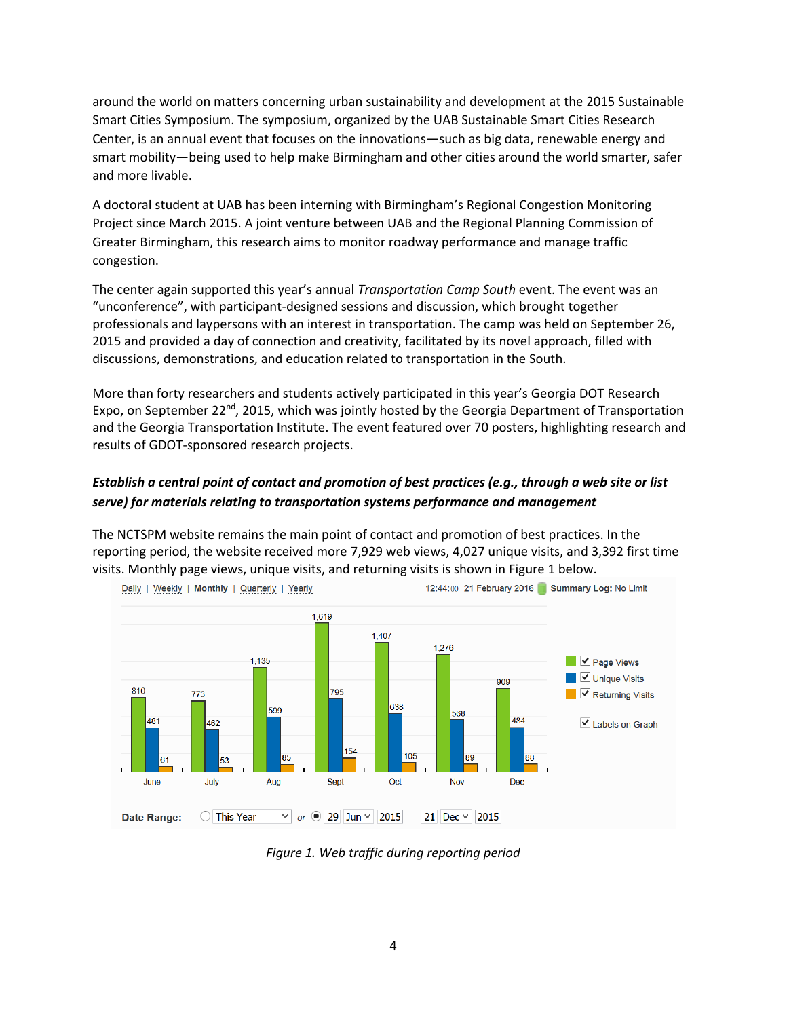around the world on matters concerning urban sustainability and development at the 2015 Sustainable Smart Cities Symposium. The symposium, organized by the UAB Sustainable Smart Cities Research Center, is an annual event that focuses on the innovations—such as big data, renewable energy and smart mobility—being used to help make Birmingham and other cities around the world smarter, safer and more livable.

A doctoral student at UAB has been interning with Birmingham's Regional Congestion Monitoring Project since March 2015. A joint venture between UAB and the Regional Planning Commission of Greater Birmingham, this research aims to monitor roadway performance and manage traffic congestion.

The center again supported this year's annual *Transportation Camp South* event. The event was an "unconference", with participant-designed sessions and discussion, which brought together professionals and laypersons with an interest in transportation. The camp was held on September 26, 2015 and provided a day of connection and creativity, facilitated by its novel approach, filled with discussions, demonstrations, and education related to transportation in the South.

More than forty researchers and students actively participated in this year's Georgia DOT Research Expo, on September 22<sup>nd</sup>, 2015, which was jointly hosted by the Georgia Department of Transportation and the Georgia Transportation Institute. The event featured over 70 posters, highlighting research and results of GDOT-sponsored research projects.

### *Establish a central point of contact and promotion of best practices (e.g., through a web site or list serve) for materials relating to transportation systems performance and management*

The [NCTSPM website](http://nctspm.gatech.edu/) remains the main point of contact and promotion of best practices. In the reporting period, the website received more 7,929 web views, 4,027 unique visits, and 3,392 first time visits. Monthly page views, unique visits, and returning visits is shown in Figure 1 below.



*Figure 1. Web traffic during reporting period*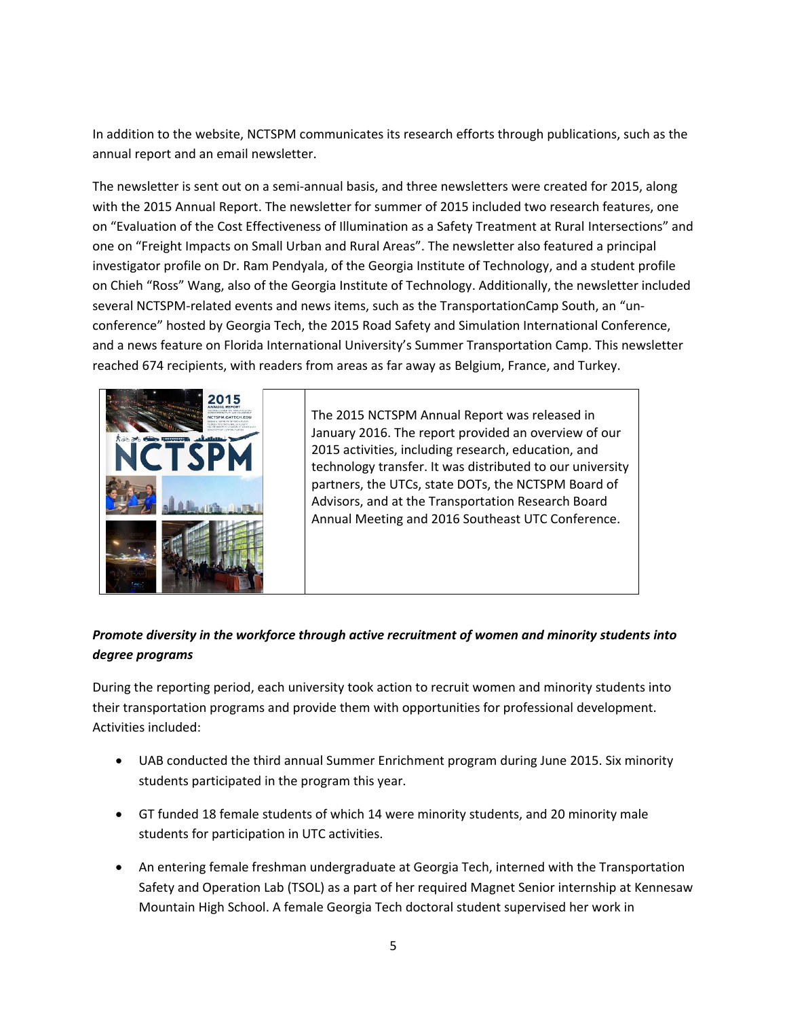In addition to the website, NCTSPM communicates its research efforts through publications, such as the annual report and an email newsletter.

The newsletter is sent out on a semi-annual basis, and three newsletters were created for 2015, along with the 2015 Annual Report. The newsletter for summer of 2015 included two research features, one on "Evaluation of the Cost Effectiveness of Illumination as a Safety Treatment at Rural Intersections" and one on "Freight Impacts on Small Urban and Rural Areas". The newsletter also featured a principal investigator profile on Dr. Ram Pendyala, of the Georgia Institute of Technology, and a student profile on Chieh "Ross" Wang, also of the Georgia Institute of Technology. Additionally, the newsletter included several NCTSPM-related events and news items, such as the TransportationCamp South, an "unconference" hosted by Georgia Tech, the 2015 Road Safety and Simulation International Conference, and a news feature on Florida International University's Summer Transportation Camp. This newsletter reached 674 recipients, with readers from areas as far away as Belgium, France, and Turkey.



The 2015 NCTSPM Annual Report was released in January 2016. The report provided an overview of our 2015 activities, including research, education, and technology transfer. It was distributed to our university partners, the UTCs, state DOTs, the NCTSPM Board of Advisors, and at the Transportation Research Board Annual Meeting and 2016 Southeast UTC Conference.

### *Promote diversity in the workforce through active recruitment of women and minority students into degree programs*

During the reporting period, each university took action to recruit women and minority students into their transportation programs and provide them with opportunities for professional development. Activities included:

- UAB conducted the third annual Summer Enrichment program during June 2015. Six minority students participated in the program this year.
- GT funded 18 female students of which 14 were minority students, and 20 minority male students for participation in UTC activities.
- An entering female freshman undergraduate at Georgia Tech, interned with the Transportation Safety and Operation Lab (TSOL) as a part of her required Magnet Senior internship at Kennesaw Mountain High School. A female Georgia Tech doctoral student supervised her work in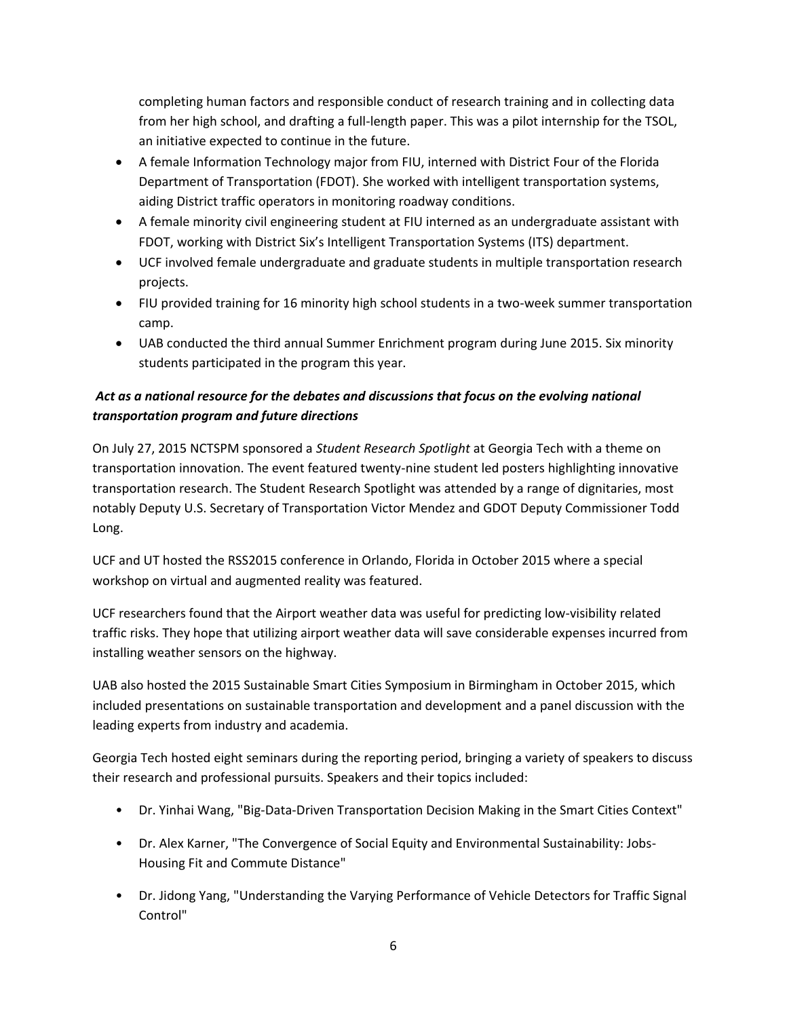completing human factors and responsible conduct of research training and in collecting data from her high school, and drafting a full-length paper. This was a pilot internship for the TSOL, an initiative expected to continue in the future.

- A female Information Technology major from FIU, interned with District Four of the Florida Department of Transportation (FDOT). She worked with intelligent transportation systems, aiding District traffic operators in monitoring roadway conditions.
- A female minority civil engineering student at FIU interned as an undergraduate assistant with FDOT, working with District Six's Intelligent Transportation Systems (ITS) department.
- UCF involved female undergraduate and graduate students in multiple transportation research projects.
- FIU provided training for 16 minority high school students in a two-week summer transportation camp.
- UAB conducted the third annual Summer Enrichment program during June 2015. Six minority students participated in the program this year.

### *Act as a national resource for the debates and discussions that focus on the evolving national transportation program and future directions*

On July 27, 2015 NCTSPM sponsored a *Student Research Spotlight* at Georgia Tech with a theme on transportation innovation. The event featured twenty-nine student led posters highlighting innovative transportation research. The Student Research Spotlight was attended by a range of dignitaries, most notably Deputy U.S. Secretary of Transportation Victor Mendez and GDOT Deputy Commissioner Todd Long.

UCF and UT hosted the RSS2015 conference in Orlando, Florida in October 2015 where a special workshop on virtual and augmented reality was featured.

UCF researchers found that the Airport weather data was useful for predicting low-visibility related traffic risks. They hope that utilizing airport weather data will save considerable expenses incurred from installing weather sensors on the highway.

UAB also hosted the 2015 Sustainable Smart Cities Symposium in Birmingham in October 2015, which included presentations on sustainable transportation and development and a panel discussion with the leading experts from industry and academia.

Georgia Tech hosted eight seminars during the reporting period, bringing a variety of speakers to discuss their research and professional pursuits. Speakers and their topics included:

- Dr. Yinhai Wang, "Big-Data-Driven Transportation Decision Making in the Smart Cities Context"
- Dr. Alex Karner, "The Convergence of Social Equity and Environmental Sustainability: Jobs-Housing Fit and Commute Distance"
- Dr. Jidong Yang, "Understanding the Varying Performance of Vehicle Detectors for Traffic Signal Control"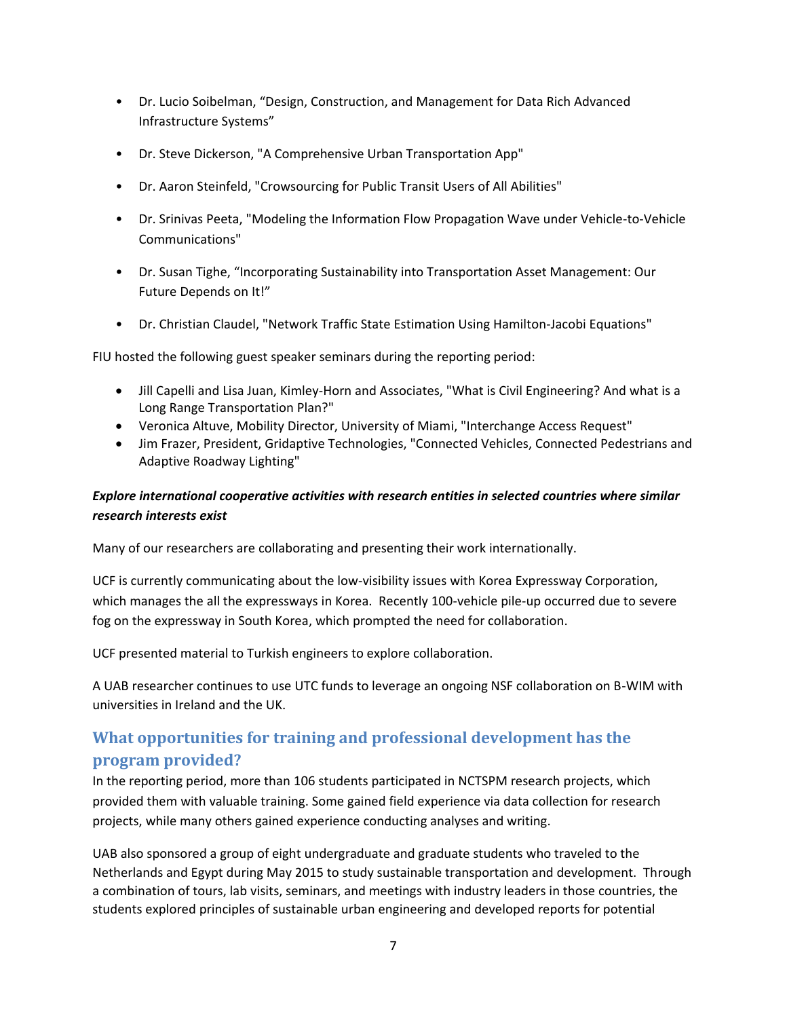- Dr. Lucio Soibelman, "Design, Construction, and Management for Data Rich Advanced Infrastructure Systems"
- Dr. Steve Dickerson, "A Comprehensive Urban Transportation App"
- Dr. Aaron Steinfeld, "Crowsourcing for Public Transit Users of All Abilities"
- Dr. Srinivas Peeta, "Modeling the Information Flow Propagation Wave under Vehicle-to-Vehicle Communications"
- Dr. Susan Tighe, "Incorporating Sustainability into Transportation Asset Management: Our Future Depends on It!"
- Dr. Christian Claudel, "Network Traffic State Estimation Using Hamilton-Jacobi Equations"

FIU hosted the following guest speaker seminars during the reporting period:

- Jill Capelli and Lisa Juan, Kimley-Horn and Associates, "What is Civil Engineering? And what is a Long Range Transportation Plan?"
- Veronica Altuve, Mobility Director, University of Miami, "Interchange Access Request"
- Jim Frazer, President, Gridaptive Technologies, "Connected Vehicles, Connected Pedestrians and Adaptive Roadway Lighting"

### *Explore international cooperative activities with research entities in selected countries where similar research interests exist*

Many of our researchers are collaborating and presenting their work internationally.

UCF is currently communicating about the low-visibility issues with Korea Expressway Corporation, which manages the all the expressways in Korea. Recently 100-vehicle pile-up occurred due to severe fog on the expressway in South Korea, which prompted the need for collaboration.

UCF presented material to Turkish engineers to explore collaboration.

A UAB researcher continues to use UTC funds to leverage an ongoing NSF collaboration on B-WIM with universities in Ireland and the UK.

# **What opportunities for training and professional development has the program provided?**

In the reporting period, more than 106 students participated in NCTSPM research projects, which provided them with valuable training. Some gained field experience via data collection for research projects, while many others gained experience conducting analyses and writing.

UAB also sponsored a group of eight undergraduate and graduate students who traveled to the Netherlands and Egypt during May 2015 to study sustainable transportation and development. Through a combination of tours, lab visits, seminars, and meetings with industry leaders in those countries, the students explored principles of sustainable urban engineering and developed reports for potential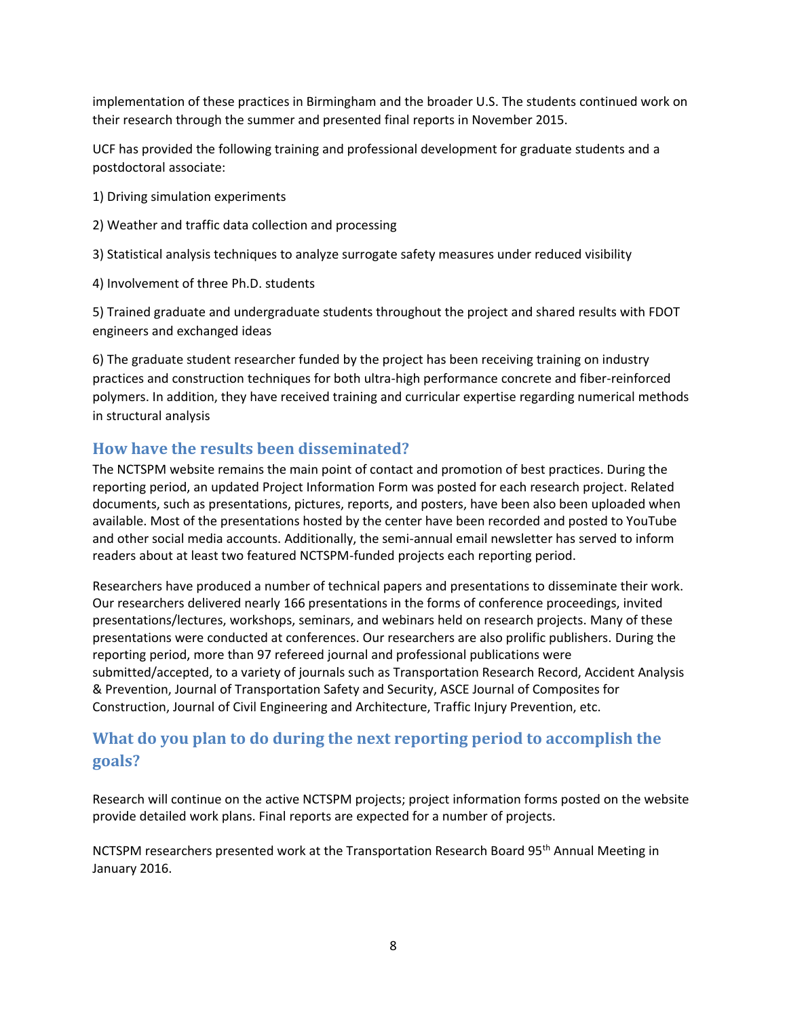implementation of these practices in Birmingham and the broader U.S. The students continued work on their research through the summer and presented final reports in November 2015.

UCF has provided the following training and professional development for graduate students and a postdoctoral associate:

1) Driving simulation experiments

2) Weather and traffic data collection and processing

3) Statistical analysis techniques to analyze surrogate safety measures under reduced visibility

4) Involvement of three Ph.D. students

5) Trained graduate and undergraduate students throughout the project and shared results with FDOT engineers and exchanged ideas

6) The graduate student researcher funded by the project has been receiving training on industry practices and construction techniques for both ultra-high performance concrete and fiber-reinforced polymers. In addition, they have received training and curricular expertise regarding numerical methods in structural analysis

### **How have the results been disseminated?**

The NCTSPM website remains the main point of contact and promotion of best practices. During the reporting period, an updated Project Information Form was posted for each research project. Related documents, such as presentations, pictures, reports, and posters, have been also been uploaded when available. Most of the presentations hosted by the center have been recorded and posted to YouTube and other social media accounts. Additionally, the semi-annual email newsletter has served to inform readers about at least two featured NCTSPM-funded projects each reporting period.

Researchers have produced a number of technical papers and presentations to disseminate their work. Our researchers delivered nearly 166 presentations in the forms of conference proceedings, invited presentations/lectures, workshops, seminars, and webinars held on research projects. Many of these presentations were conducted at conferences. Our researchers are also prolific publishers. During the reporting period, more than 97 refereed journal and professional publications were submitted/accepted, to a variety of journals such as Transportation Research Record, Accident Analysis & Prevention, Journal of Transportation Safety and Security, ASCE Journal of Composites for Construction, Journal of Civil Engineering and Architecture, Traffic Injury Prevention, etc.

# **What do you plan to do during the next reporting period to accomplish the goals?**

Research will continue on the active NCTSPM projects; project information forms posted on the website provide detailed work plans. Final reports are expected for a number of projects.

NCTSPM researchers presented work at the Transportation Research Board 95<sup>th</sup> Annual Meeting in January 2016.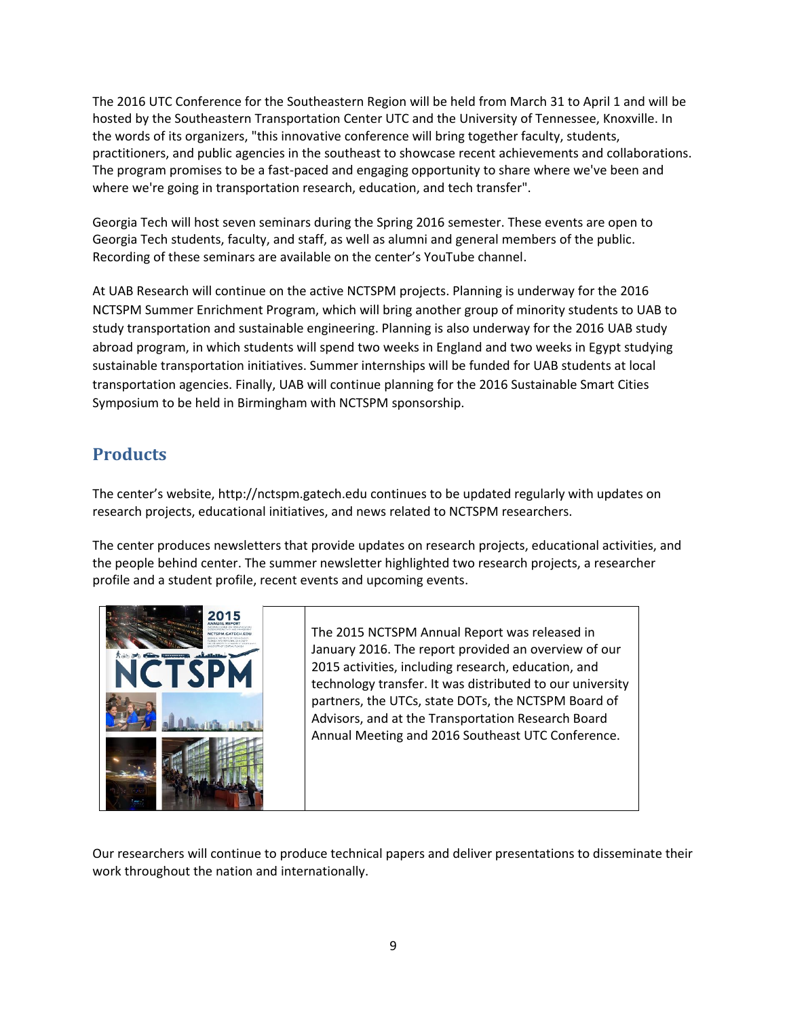The 2016 UTC Conference for the Southeastern Region will be held from March 31 to April 1 and will be hosted by the Southeastern Transportation Center UTC and the University of Tennessee, Knoxville. In the words of its organizers, "this innovative conference will bring together faculty, students, practitioners, and public agencies in the southeast to showcase recent achievements and collaborations. The program promises to be a fast-paced and engaging opportunity to share where we've been and where we're going in transportation research, education, and tech transfer".

Georgia Tech will host seven seminars during the Spring 2016 semester. These events are open to Georgia Tech students, faculty, and staff, as well as alumni and general members of the public. Recording of these seminars are available on the center's YouTube channel.

At UAB Research will continue on the active NCTSPM projects. Planning is underway for the 2016 NCTSPM Summer Enrichment Program, which will bring another group of minority students to UAB to study transportation and sustainable engineering. Planning is also underway for the 2016 UAB study abroad program, in which students will spend two weeks in England and two weeks in Egypt studying sustainable transportation initiatives. Summer internships will be funded for UAB students at local transportation agencies. Finally, UAB will continue planning for the 2016 Sustainable Smart Cities Symposium to be held in Birmingham with NCTSPM sponsorship.

# **Products**

The center's website, [http://nctspm.gatech.edu](http://nctspm.gatech.edu/) continues to be updated regularly with updates on research projects, educational initiatives, and news related to NCTSPM researchers.

The center produces newsletters that provide updates on research projects, educational activities, and the people behind center. The summer newsletter highlighted two research projects, a researcher profile and a student profile, recent events and upcoming events.



The 2015 NCTSPM Annual Report was released in January 2016. The report provided an overview of our 2015 activities, including research, education, and technology transfer. It was distributed to our university partners, the UTCs, state DOTs, the NCTSPM Board of Advisors, and at the Transportation Research Board Annual Meeting and 2016 Southeast UTC Conference.

Our researchers will continue to produce technical papers and deliver presentations to disseminate their work throughout the nation and internationally.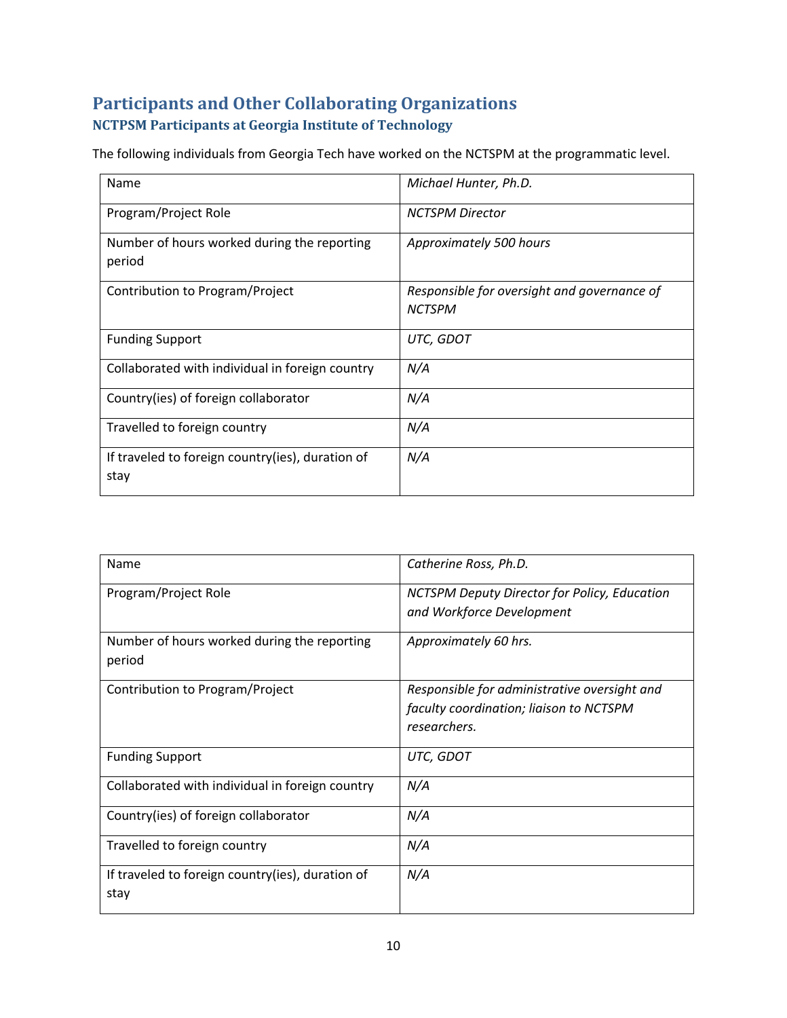# **Participants and Other Collaborating Organizations NCTPSM Participants at Georgia Institute of Technology**

The following individuals from Georgia Tech have worked on the NCTSPM at the programmatic level.

| Name                                                     | Michael Hunter, Ph.D.                                        |
|----------------------------------------------------------|--------------------------------------------------------------|
| Program/Project Role                                     | <b>NCTSPM Director</b>                                       |
| Number of hours worked during the reporting<br>period    | Approximately 500 hours                                      |
| Contribution to Program/Project                          | Responsible for oversight and governance of<br><b>NCTSPM</b> |
| <b>Funding Support</b>                                   | UTC, GDOT                                                    |
| Collaborated with individual in foreign country          | N/A                                                          |
| Country(ies) of foreign collaborator                     | N/A                                                          |
| Travelled to foreign country                             | N/A                                                          |
| If traveled to foreign country(ies), duration of<br>stay | N/A                                                          |

| Name                                                     | Catherine Ross, Ph.D.                                                                                   |
|----------------------------------------------------------|---------------------------------------------------------------------------------------------------------|
| Program/Project Role                                     | NCTSPM Deputy Director for Policy, Education<br>and Workforce Development                               |
| Number of hours worked during the reporting<br>period    | Approximately 60 hrs.                                                                                   |
| Contribution to Program/Project                          | Responsible for administrative oversight and<br>faculty coordination; liaison to NCTSPM<br>researchers. |
| <b>Funding Support</b>                                   | UTC, GDOT                                                                                               |
| Collaborated with individual in foreign country          | N/A                                                                                                     |
| Country(ies) of foreign collaborator                     | N/A                                                                                                     |
| Travelled to foreign country                             | N/A                                                                                                     |
| If traveled to foreign country(ies), duration of<br>stay | N/A                                                                                                     |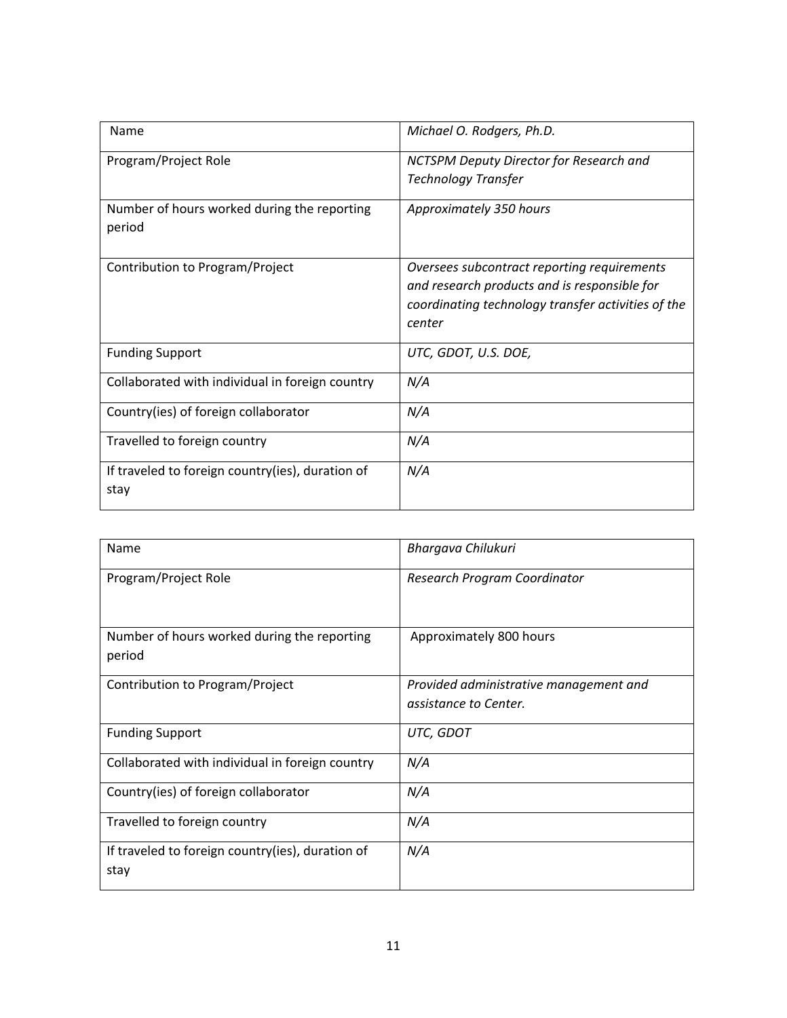| Name                                             | Michael O. Rodgers, Ph.D.                                                                   |
|--------------------------------------------------|---------------------------------------------------------------------------------------------|
| Program/Project Role                             | NCTSPM Deputy Director for Research and                                                     |
|                                                  | <b>Technology Transfer</b>                                                                  |
| Number of hours worked during the reporting      | Approximately 350 hours                                                                     |
| period                                           |                                                                                             |
|                                                  |                                                                                             |
| Contribution to Program/Project                  | Oversees subcontract reporting requirements<br>and research products and is responsible for |
|                                                  | coordinating technology transfer activities of the                                          |
|                                                  | center                                                                                      |
|                                                  |                                                                                             |
| <b>Funding Support</b>                           | UTC, GDOT, U.S. DOE,                                                                        |
| Collaborated with individual in foreign country  | N/A                                                                                         |
| Country(ies) of foreign collaborator             | N/A                                                                                         |
| Travelled to foreign country                     | N/A                                                                                         |
| If traveled to foreign country(ies), duration of | N/A                                                                                         |
| stay                                             |                                                                                             |

| Name                                                     | Bhargava Chilukuri                                              |
|----------------------------------------------------------|-----------------------------------------------------------------|
| Program/Project Role                                     | Research Program Coordinator                                    |
| Number of hours worked during the reporting<br>period    | Approximately 800 hours                                         |
| Contribution to Program/Project                          | Provided administrative management and<br>assistance to Center. |
| <b>Funding Support</b>                                   | UTC, GDOT                                                       |
| Collaborated with individual in foreign country          | N/A                                                             |
| Country(ies) of foreign collaborator                     | N/A                                                             |
| Travelled to foreign country                             | N/A                                                             |
| If traveled to foreign country(ies), duration of<br>stay | N/A                                                             |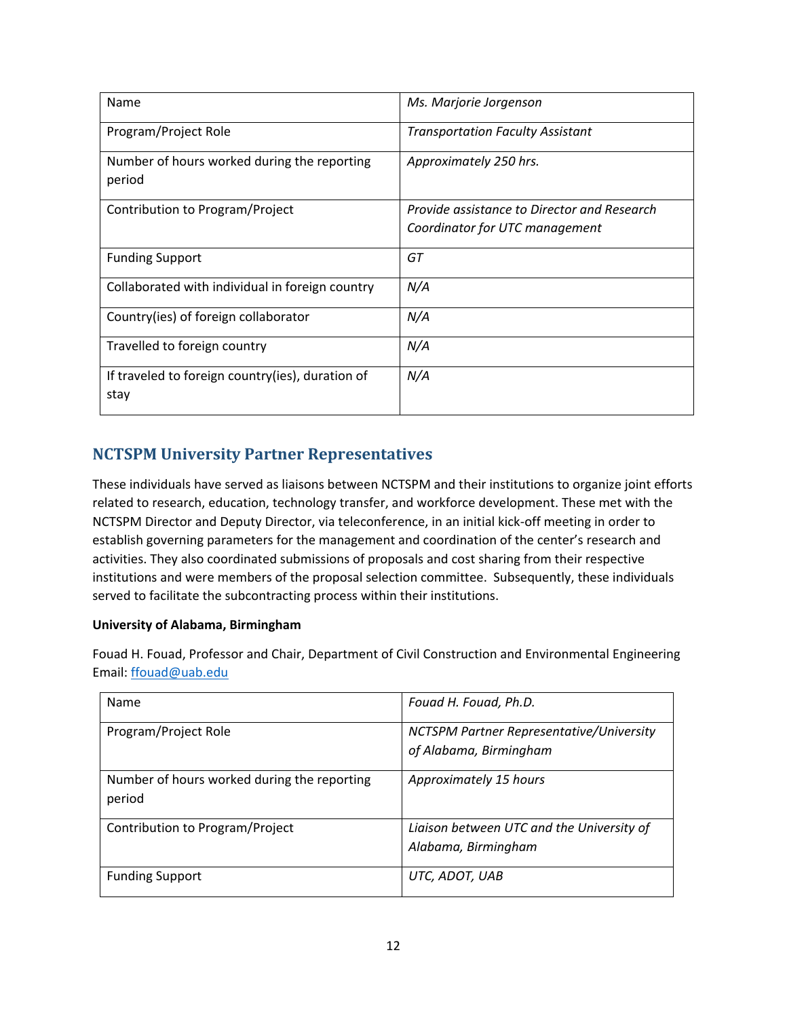| Name                                                     | Ms. Marjorie Jorgenson                      |
|----------------------------------------------------------|---------------------------------------------|
| Program/Project Role                                     | <b>Transportation Faculty Assistant</b>     |
| Number of hours worked during the reporting<br>period    | Approximately 250 hrs.                      |
| Contribution to Program/Project                          | Provide assistance to Director and Research |
|                                                          | Coordinator for UTC management              |
| <b>Funding Support</b>                                   | GT                                          |
| Collaborated with individual in foreign country          | N/A                                         |
| Country(ies) of foreign collaborator                     | N/A                                         |
| Travelled to foreign country                             | N/A                                         |
| If traveled to foreign country(ies), duration of<br>stay | N/A                                         |

# **NCTSPM University Partner Representatives**

These individuals have served as liaisons between NCTSPM and their institutions to organize joint efforts related to research, education, technology transfer, and workforce development. These met with the NCTSPM Director and Deputy Director, via teleconference, in an initial kick-off meeting in order to establish governing parameters for the management and coordination of the center's research and activities. They also coordinated submissions of proposals and cost sharing from their respective institutions and were members of the proposal selection committee. Subsequently, these individuals served to facilitate the subcontracting process within their institutions.

#### **University of Alabama, Birmingham**

Fouad H. Fouad, Professor and Chair, Department of Civil Construction and Environmental Engineering Email: [ffouad@uab.edu](mailto:ffouad@uab.edu)

| Name                                                  | Fouad H. Fouad, Ph.D.                                              |
|-------------------------------------------------------|--------------------------------------------------------------------|
| Program/Project Role                                  | NCTSPM Partner Representative/University<br>of Alabama, Birmingham |
| Number of hours worked during the reporting<br>period | Approximately 15 hours                                             |
| Contribution to Program/Project                       | Liaison between UTC and the University of<br>Alabama, Birmingham   |
| <b>Funding Support</b>                                | UTC, ADOT, UAB                                                     |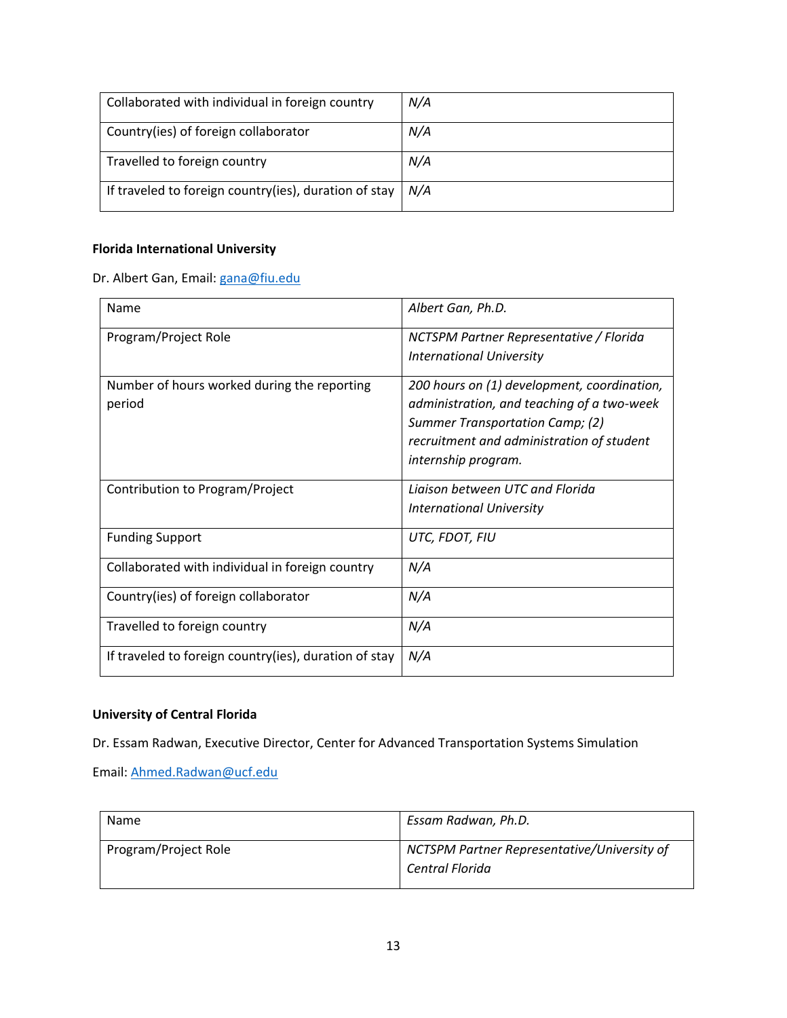| Collaborated with individual in foreign country       | N/A |
|-------------------------------------------------------|-----|
| Country(ies) of foreign collaborator                  | N/A |
| Travelled to foreign country                          | N/A |
| If traveled to foreign country(ies), duration of stay | N/A |

### **Florida International University**

Dr. Albert Gan, Email: [gana@fiu.edu](mailto:gana@fiu.edu)

| Name                                                   | Albert Gan, Ph.D.                           |  |
|--------------------------------------------------------|---------------------------------------------|--|
| Program/Project Role                                   | NCTSPM Partner Representative / Florida     |  |
|                                                        | <b>International University</b>             |  |
| Number of hours worked during the reporting            | 200 hours on (1) development, coordination, |  |
| period                                                 | administration, and teaching of a two-week  |  |
|                                                        | Summer Transportation Camp; (2)             |  |
|                                                        | recruitment and administration of student   |  |
|                                                        | internship program.                         |  |
| Contribution to Program/Project                        | Ligison between UTC and Florida             |  |
|                                                        | <b>International University</b>             |  |
| <b>Funding Support</b>                                 | UTC, FDOT, FIU                              |  |
| Collaborated with individual in foreign country        | N/A                                         |  |
| Country(ies) of foreign collaborator                   | N/A                                         |  |
| Travelled to foreign country                           | N/A                                         |  |
| If traveled to foreign country (ies), duration of stay | N/A                                         |  |

#### **University of Central Florida**

Dr. Essam Radwan, Executive Director, Center for Advanced Transportation Systems Simulation

Email: [Ahmed.Radwan@ucf.edu](mailto:Ahmed.Radwan@ucf.edu)

| Name                 | Essam Radwan, Ph.D.                                            |  |
|----------------------|----------------------------------------------------------------|--|
| Program/Project Role | NCTSPM Partner Representative/University of<br>Central Florida |  |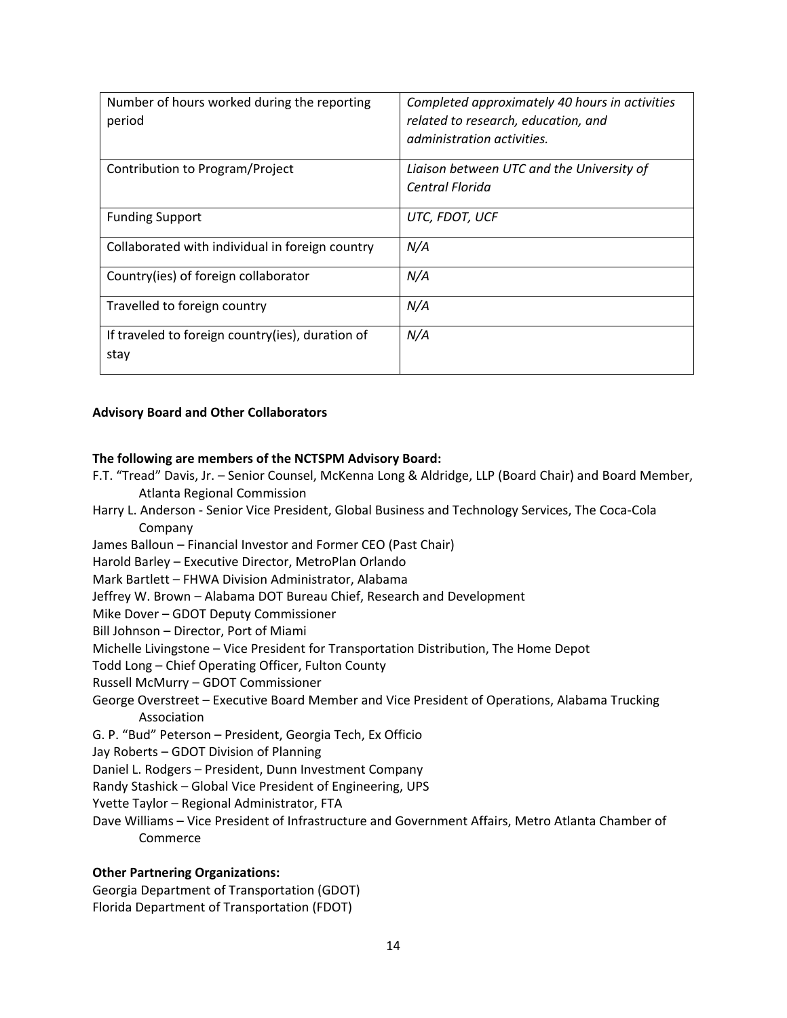| Number of hours worked during the reporting<br>period    | Completed approximately 40 hours in activities<br>related to research, education, and<br>administration activities. |  |
|----------------------------------------------------------|---------------------------------------------------------------------------------------------------------------------|--|
| Contribution to Program/Project                          | Liaison between UTC and the University of<br>Central Florida                                                        |  |
| <b>Funding Support</b>                                   | UTC, FDOT, UCF                                                                                                      |  |
| Collaborated with individual in foreign country          | N/A                                                                                                                 |  |
| Country(ies) of foreign collaborator                     | N/A                                                                                                                 |  |
| Travelled to foreign country                             | N/A                                                                                                                 |  |
| If traveled to foreign country(ies), duration of<br>stay | N/A                                                                                                                 |  |

#### **Advisory Board and Other Collaborators**

#### **The following are members of the NCTSPM Advisory Board:**

- F.T. "Tread" Davis, Jr. Senior Counsel, McKenna Long & Aldridge, LLP (Board Chair) and Board Member, Atlanta Regional Commission
- Harry L. Anderson Senior Vice President, Global Business and Technology Services, The Coca-Cola Company
- James Balloun Financial Investor and Former CEO (Past Chair)
- Harold Barley Executive Director, MetroPlan Orlando
- Mark Bartlett FHWA Division Administrator, Alabama
- Jeffrey W. Brown Alabama DOT Bureau Chief, Research and Development
- Mike Dover GDOT Deputy Commissioner

Bill Johnson – Director, Port of Miami

Michelle Livingstone – Vice President for Transportation Distribution, The Home Depot

Todd Long – Chief Operating Officer, Fulton County

- Russell McMurry GDOT Commissioner
- George Overstreet Executive Board Member and Vice President of Operations, Alabama Trucking Association
- G. P. "Bud" Peterson President, Georgia Tech, Ex Officio
- Jay Roberts GDOT Division of Planning
- Daniel L. Rodgers President, Dunn Investment Company
- Randy Stashick Global Vice President of Engineering, UPS
- Yvette Taylor Regional Administrator, FTA
- Dave Williams Vice President of Infrastructure and Government Affairs, Metro Atlanta Chamber of Commerce

#### **Other Partnering Organizations:**

Georgia Department of Transportation (GDOT) Florida Department of Transportation (FDOT)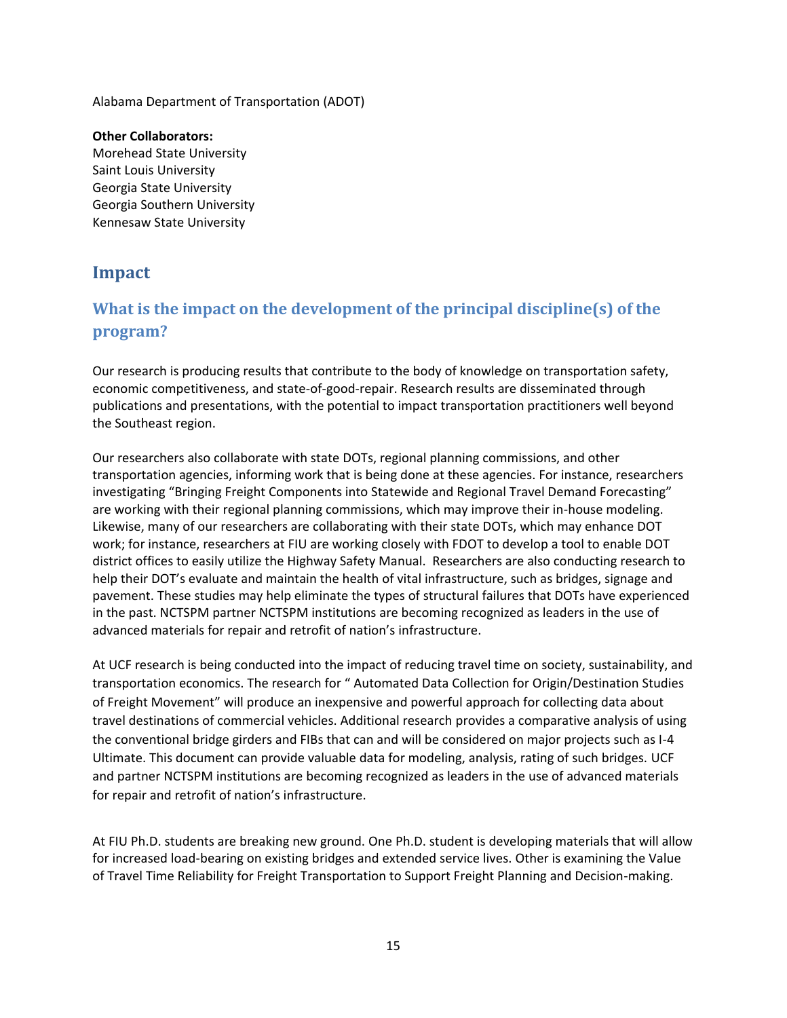Alabama Department of Transportation (ADOT)

**Other Collaborators:** Morehead State University Saint Louis University Georgia State University Georgia Southern University Kennesaw State University

# **Impact**

# **What is the impact on the development of the principal discipline(s) of the program?**

Our research is producing results that contribute to the body of knowledge on transportation safety, economic competitiveness, and state-of-good-repair. Research results are disseminated through publications and presentations, with the potential to impact transportation practitioners well beyond the Southeast region.

Our researchers also collaborate with state DOTs, regional planning commissions, and other transportation agencies, informing work that is being done at these agencies. For instance, researchers investigating "Bringing Freight Components into Statewide and Regional Travel Demand Forecasting" are working with their regional planning commissions, which may improve their in-house modeling. Likewise, many of our researchers are collaborating with their state DOTs, which may enhance DOT work; for instance, researchers at FIU are working closely with FDOT to develop a tool to enable DOT district offices to easily utilize the Highway Safety Manual. Researchers are also conducting research to help their DOT's evaluate and maintain the health of vital infrastructure, such as bridges, signage and pavement. These studies may help eliminate the types of structural failures that DOTs have experienced in the past. NCTSPM partner NCTSPM institutions are becoming recognized as leaders in the use of advanced materials for repair and retrofit of nation's infrastructure.

At UCF research is being conducted into the impact of reducing travel time on society, sustainability, and transportation economics. The research for " Automated Data Collection for Origin/Destination Studies of Freight Movement" will produce an inexpensive and powerful approach for collecting data about travel destinations of commercial vehicles. Additional research provides a comparative analysis of using the conventional bridge girders and FIBs that can and will be considered on major projects such as I-4 Ultimate. This document can provide valuable data for modeling, analysis, rating of such bridges. UCF and partner NCTSPM institutions are becoming recognized as leaders in the use of advanced materials for repair and retrofit of nation's infrastructure.

At FIU Ph.D. students are breaking new ground. One Ph.D. student is developing materials that will allow for increased load-bearing on existing bridges and extended service lives. Other is examining the Value of Travel Time Reliability for Freight Transportation to Support Freight Planning and Decision-making.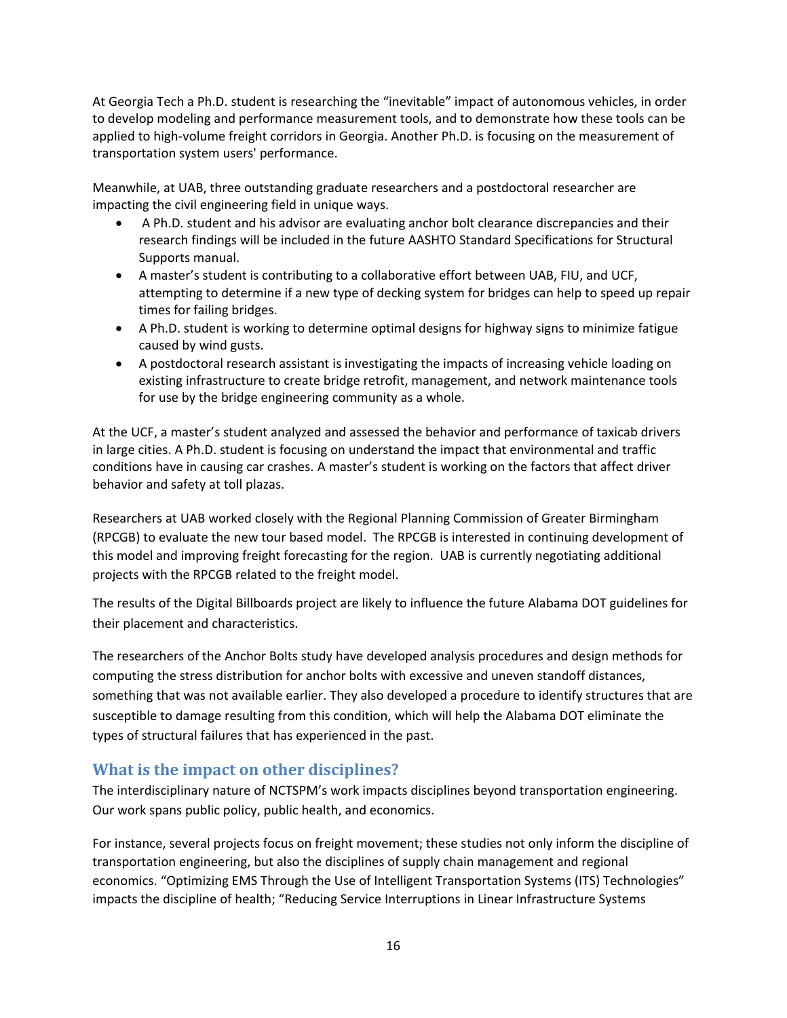At Georgia Tech a Ph.D. student is researching the "inevitable" impact of autonomous vehicles, in order to develop modeling and performance measurement tools, and to demonstrate how these tools can be applied to high-volume freight corridors in Georgia. Another Ph.D. is focusing on the measurement of transportation system users' performance.

Meanwhile, at UAB, three outstanding graduate researchers and a postdoctoral researcher are impacting the civil engineering field in unique ways.

- A Ph.D. student and his advisor are evaluating anchor bolt clearance discrepancies and their research findings will be included in the future AASHTO Standard Specifications for Structural Supports manual.
- A master's student is contributing to a collaborative effort between UAB, FIU, and UCF, attempting to determine if a new type of decking system for bridges can help to speed up repair times for failing bridges.
- A Ph.D. student is working to determine optimal designs for highway signs to minimize fatigue caused by wind gusts.
- A postdoctoral research assistant is investigating the impacts of increasing vehicle loading on existing infrastructure to create bridge retrofit, management, and network maintenance tools for use by the bridge engineering community as a whole.

At the UCF, a master's student analyzed and assessed the behavior and performance of taxicab drivers in large cities. A Ph.D. student is focusing on understand the impact that environmental and traffic conditions have in causing car crashes. A master's student is working on the factors that affect driver behavior and safety at toll plazas.

Researchers at UAB worked closely with the Regional Planning Commission of Greater Birmingham (RPCGB) to evaluate the new tour based model. The RPCGB is interested in continuing development of this model and improving freight forecasting for the region. UAB is currently negotiating additional projects with the RPCGB related to the freight model.

The results of the Digital Billboards project are likely to influence the future Alabama DOT guidelines for their placement and characteristics.

The researchers of the Anchor Bolts study have developed analysis procedures and design methods for computing the stress distribution for anchor bolts with excessive and uneven standoff distances, something that was not available earlier. They also developed a procedure to identify structures that are susceptible to damage resulting from this condition, which will help the Alabama DOT eliminate the types of structural failures that has experienced in the past.

### **What is the impact on other disciplines?**

The interdisciplinary nature of NCTSPM's work impacts disciplines beyond transportation engineering. Our work spans public policy, public health, and economics.

For instance, several projects focus on freight movement; these studies not only inform the discipline of transportation engineering, but also the disciplines of supply chain management and regional economics. "Optimizing EMS Through the Use of Intelligent Transportation Systems (ITS) Technologies" impacts the discipline of health; "Reducing Service Interruptions in Linear Infrastructure Systems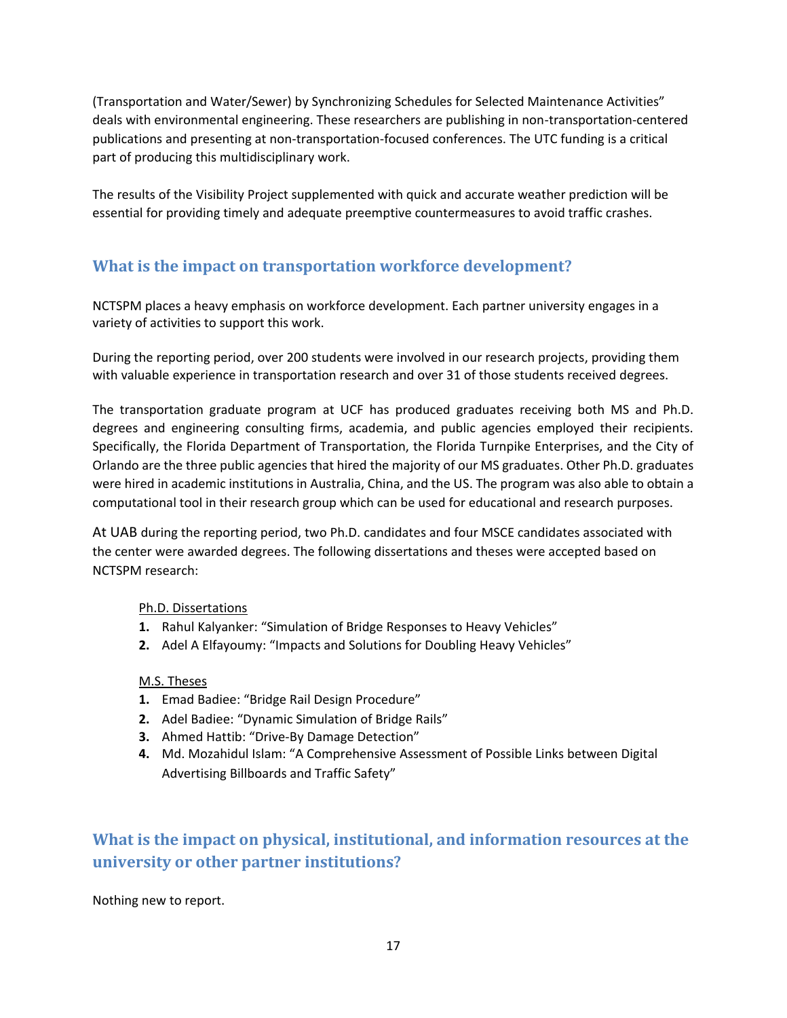(Transportation and Water/Sewer) by Synchronizing Schedules for Selected Maintenance Activities" deals with environmental engineering. These researchers are publishing in non-transportation-centered publications and presenting at non-transportation-focused conferences. The UTC funding is a critical part of producing this multidisciplinary work.

The results of the Visibility Project supplemented with quick and accurate weather prediction will be essential for providing timely and adequate preemptive countermeasures to avoid traffic crashes.

# **What is the impact on transportation workforce development?**

NCTSPM places a heavy emphasis on workforce development. Each partner university engages in a variety of activities to support this work.

During the reporting period, over 200 students were involved in our research projects, providing them with valuable experience in transportation research and over 31 of those students received degrees.

The transportation graduate program at UCF has produced graduates receiving both MS and Ph.D. degrees and engineering consulting firms, academia, and public agencies employed their recipients. Specifically, the Florida Department of Transportation, the Florida Turnpike Enterprises, and the City of Orlando are the three public agencies that hired the majority of our MS graduates. Other Ph.D. graduates were hired in academic institutions in Australia, China, and the US. The program was also able to obtain a computational tool in their research group which can be used for educational and research purposes.

At UAB during the reporting period, two Ph.D. candidates and four MSCE candidates associated with the center were awarded degrees. The following dissertations and theses were accepted based on NCTSPM research:

#### Ph.D. Dissertations

- **1.** Rahul Kalyanker: "Simulation of Bridge Responses to Heavy Vehicles"
- **2.** Adel A Elfayoumy: "Impacts and Solutions for Doubling Heavy Vehicles"

#### M.S. Theses

- **1.** Emad Badiee: "Bridge Rail Design Procedure"
- **2.** Adel Badiee: "Dynamic Simulation of Bridge Rails"
- **3.** Ahmed Hattib: "Drive-By Damage Detection"
- **4.** Md. Mozahidul Islam: "A Comprehensive Assessment of Possible Links between Digital Advertising Billboards and Traffic Safety"

# **What is the impact on physical, institutional, and information resources at the university or other partner institutions?**

Nothing new to report.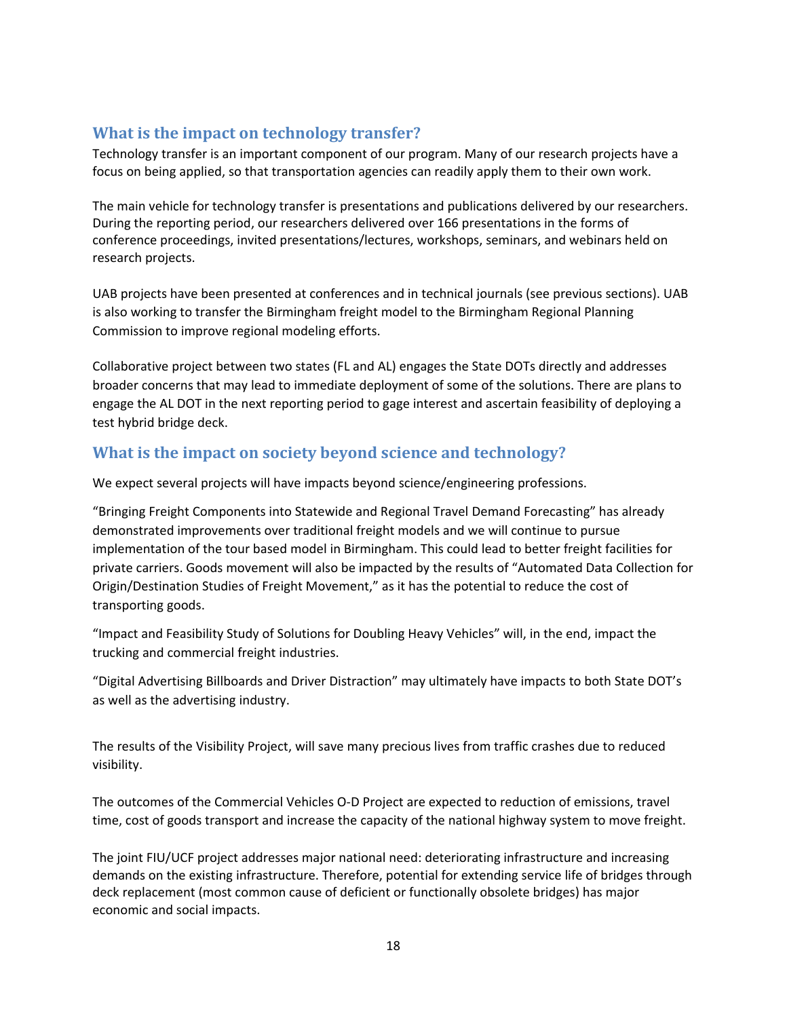### **What is the impact on technology transfer?**

Technology transfer is an important component of our program. Many of our research projects have a focus on being applied, so that transportation agencies can readily apply them to their own work.

The main vehicle for technology transfer is presentations and publications delivered by our researchers. During the reporting period, our researchers delivered over 166 presentations in the forms of conference proceedings, invited presentations/lectures, workshops, seminars, and webinars held on research projects.

UAB projects have been presented at conferences and in technical journals (see previous sections). UAB is also working to transfer the Birmingham freight model to the Birmingham Regional Planning Commission to improve regional modeling efforts.

Collaborative project between two states (FL and AL) engages the State DOTs directly and addresses broader concerns that may lead to immediate deployment of some of the solutions. There are plans to engage the AL DOT in the next reporting period to gage interest and ascertain feasibility of deploying a test hybrid bridge deck.

### **What is the impact on society beyond science and technology?**

We expect several projects will have impacts beyond science/engineering professions.

"Bringing Freight Components into Statewide and Regional Travel Demand Forecasting" has already demonstrated improvements over traditional freight models and we will continue to pursue implementation of the tour based model in Birmingham. This could lead to better freight facilities for private carriers. Goods movement will also be impacted by the results of "Automated Data Collection for Origin/Destination Studies of Freight Movement," as it has the potential to reduce the cost of transporting goods.

"Impact and Feasibility Study of Solutions for Doubling Heavy Vehicles" will, in the end, impact the trucking and commercial freight industries.

"Digital Advertising Billboards and Driver Distraction" may ultimately have impacts to both State DOT's as well as the advertising industry.

The results of the Visibility Project, will save many precious lives from traffic crashes due to reduced visibility.

The outcomes of the Commercial Vehicles O-D Project are expected to reduction of emissions, travel time, cost of goods transport and increase the capacity of the national highway system to move freight.

The joint FIU/UCF project addresses major national need: deteriorating infrastructure and increasing demands on the existing infrastructure. Therefore, potential for extending service life of bridges through deck replacement (most common cause of deficient or functionally obsolete bridges) has major economic and social impacts.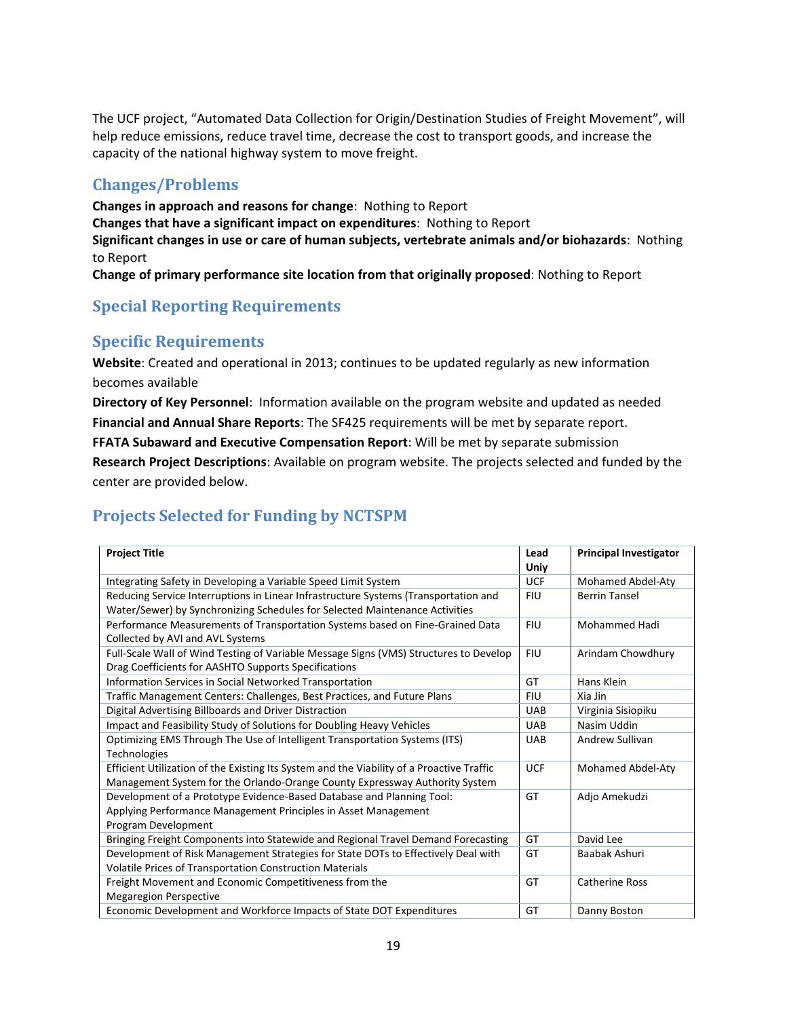The UCF project, "Automated Data Collection for Origin/Destination Studies of Freight Movement", will help reduce emissions, reduce travel time, decrease the cost to transport goods, and increase the capacity of the national highway system to move freight.

## **Changes/Problems**

**Changes in approach and reasons for change**: Nothing to Report **Changes that have a significant impact on expenditures**: Nothing to Report **Significant changes in use or care of human subjects, vertebrate animals and/or biohazards**: Nothing to Report **Change of primary performance site location from that originally proposed**: Nothing to Report

# **Special Reporting Requirements**

### **Specific Requirements**

**Website**: Created and operational in 2013; continues to be updated regularly as new information becomes available

**Directory of Key Personnel**: Information available on the program website and updated as needed **Financial and Annual Share Reports**: The SF425 requirements will be met by separate report.

**FFATA Subaward and Executive Compensation Report**: Will be met by separate submission

**Research Project Descriptions**: Available on program website. The projects selected and funded by the center are provided below.

# **Projects Selected for Funding by NCTSPM**

| <b>Project Title</b>                                                                                                                                                     | Lead<br>Uniy | <b>Principal Investigator</b> |
|--------------------------------------------------------------------------------------------------------------------------------------------------------------------------|--------------|-------------------------------|
| Integrating Safety in Developing a Variable Speed Limit System                                                                                                           | <b>UCF</b>   | Mohamed Abdel-Aty             |
| Reducing Service Interruptions in Linear Infrastructure Systems (Transportation and<br>Water/Sewer) by Synchronizing Schedules for Selected Maintenance Activities       | <b>FIU</b>   | <b>Berrin Tansel</b>          |
| Performance Measurements of Transportation Systems based on Fine-Grained Data<br>Collected by AVI and AVL Systems                                                        | <b>FIU</b>   | Mohammed Hadi                 |
| Full-Scale Wall of Wind Testing of Variable Message Signs (VMS) Structures to Develop<br>Drag Coefficients for AASHTO Supports Specifications                            | <b>FIU</b>   | Arindam Chowdhury             |
| Information Services in Social Networked Transportation                                                                                                                  | GT           | Hans Klein                    |
| Traffic Management Centers: Challenges, Best Practices, and Future Plans                                                                                                 | <b>FIU</b>   | Xia Jin                       |
| Digital Advertising Billboards and Driver Distraction                                                                                                                    | <b>UAB</b>   | Virginia Sisiopiku            |
| Impact and Feasibility Study of Solutions for Doubling Heavy Vehicles                                                                                                    | <b>UAB</b>   | Nasim Uddin                   |
| Optimizing EMS Through The Use of Intelligent Transportation Systems (ITS)<br>Technologies                                                                               | <b>UAB</b>   | Andrew Sullivan               |
| Efficient Utilization of the Existing Its System and the Viability of a Proactive Traffic<br>Management System for the Orlando-Orange County Expressway Authority System | <b>UCF</b>   | Mohamed Abdel-Aty             |
| Development of a Prototype Evidence-Based Database and Planning Tool:<br>Applying Performance Management Principles in Asset Management<br>Program Development           | GT           | Adjo Amekudzi                 |
| Bringing Freight Components into Statewide and Regional Travel Demand Forecasting                                                                                        | GT           | David Lee                     |
| Development of Risk Management Strategies for State DOTs to Effectively Deal with<br>Volatile Prices of Transportation Construction Materials                            | GT           | Baabak Ashuri                 |
| Freight Movement and Economic Competitiveness from the<br><b>Megaregion Perspective</b>                                                                                  | GT           | <b>Catherine Ross</b>         |
| Economic Development and Workforce Impacts of State DOT Expenditures                                                                                                     | GT           | Danny Boston                  |